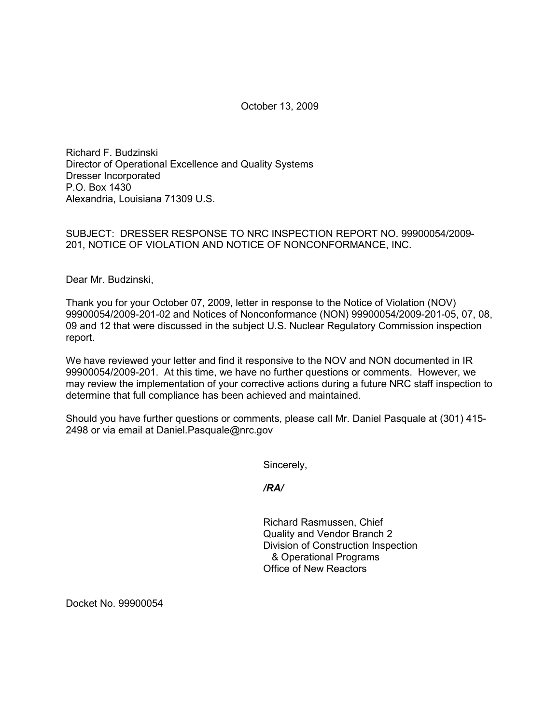October 13, 2009

Richard F. Budzinski Director of Operational Excellence and Quality Systems Dresser Incorporated P.O. Box 1430 Alexandria, Louisiana 71309 U.S.

SUBJECT: DRESSER RESPONSE TO NRC INSPECTION REPORT NO. 99900054/2009- 201, NOTICE OF VIOLATION AND NOTICE OF NONCONFORMANCE, INC.

Dear Mr. Budzinski,

Thank you for your October 07, 2009, letter in response to the Notice of Violation (NOV) 99900054/2009-201-02 and Notices of Nonconformance (NON) 99900054/2009-201-05, 07, 08, 09 and 12 that were discussed in the subject U.S. Nuclear Regulatory Commission inspection report.

We have reviewed your letter and find it responsive to the NOV and NON documented in IR 99900054/2009-201. At this time, we have no further questions or comments. However, we may review the implementation of your corrective actions during a future NRC staff inspection to determine that full compliance has been achieved and maintained.

Should you have further questions or comments, please call Mr. Daniel Pasquale at (301) 415- 2498 or via email at Daniel.Pasquale@nrc.gov

Sincerely,

*/RA/*

Richard Rasmussen, Chief Quality and Vendor Branch 2 Division of Construction Inspection & Operational Programs Office of New Reactors

Docket No. 99900054